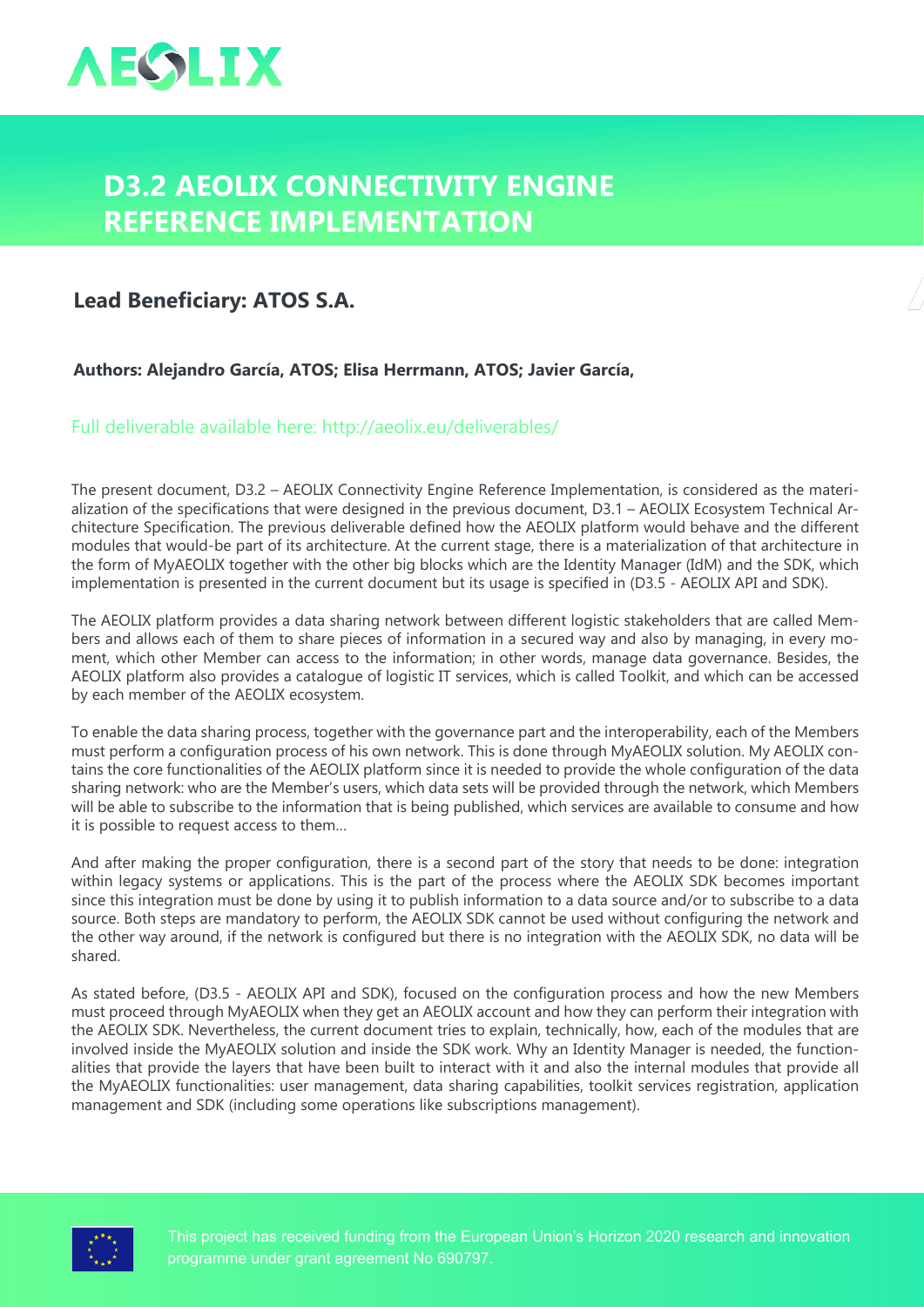

## **D3.2 AEOLIX Connectivity Engine Reference Implementation**

## **Lead Beneficiary: ATOS S.A.**

**Authors: Alejandro García, ATOS; Elisa Herrmann, ATOS; Javier García,** 

Full deliverable available here: <http://aeolix.eu/deliverables/>

The present document, D3.2 – AEOLIX Connectivity Engine Reference Implementation, is considered as the materialization of the specifications that were designed in the previous document, D3.1 – AEOLIX Ecosystem Technical Architecture Specification. The previous deliverable defined how the AEOLIX platform would behave and the different modules that would-be part of its architecture. At the current stage, there is a materialization of that architecture in the form of MyAEOLIX together with the other big blocks which are the Identity Manager (IdM) and the SDK, which implementation is presented in the current document but its usage is specified in (D3.5 - AEOLIX API and SDK).

The AEOLIX platform provides a data sharing network between different logistic stakeholders that are called Members and allows each of them to share pieces of information in a secured way and also by managing, in every moment, which other Member can access to the information; in other words, manage data governance. Besides, the AEOLIX platform also provides a catalogue of logistic IT services, which is called Toolkit, and which can be accessed by each member of the AEOLIX ecosystem.

To enable the data sharing process, together with the governance part and the interoperability, each of the Members must perform a configuration process of his own network. This is done through MyAEOLIX solution. My AEOLIX contains the core functionalities of the AEOLIX platform since it is needed to provide the whole configuration of the data sharing network: who are the Member's users, which data sets will be provided through the network, which Members will be able to subscribe to the information that is being published, which services are available to consume and how it is possible to request access to them…

And after making the proper configuration, there is a second part of the story that needs to be done: integration within legacy systems or applications. This is the part of the process where the AEOLIX SDK becomes important since this integration must be done by using it to publish information to a data source and/or to subscribe to a data source. Both steps are mandatory to perform, the AEOLIX SDK cannot be used without configuring the network and the other way around, if the network is configured but there is no integration with the AEOLIX SDK, no data will be shared.

As stated before, (D3.5 - AEOLIX API and SDK), focused on the configuration process and how the new Members must proceed through MyAEOLIX when they get an AEOLIX account and how they can perform their integration with the AEOLIX SDK. Nevertheless, the current document tries to explain, technically, how, each of the modules that are involved inside the MyAEOLIX solution and inside the SDK work. Why an Identity Manager is needed, the functionalities that provide the layers that have been built to interact with it and also the internal modules that provide all the MyAEOLIX functionalities: user management, data sharing capabilities, toolkit services registration, application management and SDK (including some operations like subscriptions management).